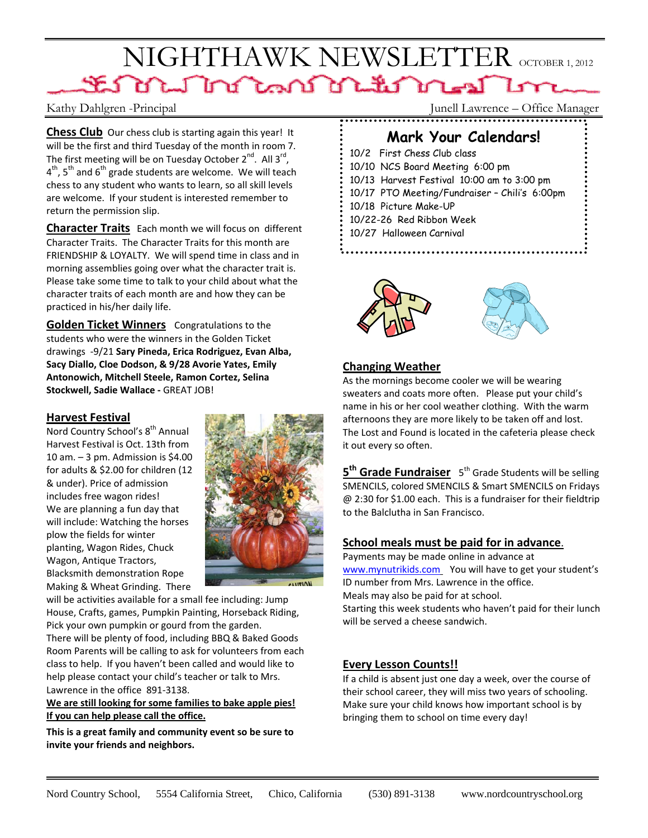# NIGHTHAWK NEWSLETTER OCTOBER 1, 2012 SEN DE LA LAND DE LENDE AUTO

**Chess Club** Our chess club is starting again this year! It will be the first and third Tuesday of the month in room 7. The first meeting will be on Tuesday October  $2^{nd}$ . All  $3^{rd}$ ,  $4<sup>th</sup>$ , 5<sup>th</sup> and 6<sup>th</sup> grade students are welcome. We will teach chess to any student who wants to learn, so all skill levels are welcome. If your student is interested remember to return the permission slip.

**Character Traits** Each month we will focus on different Character Traits. The Character Traits for this month are FRIENDSHIP & LOYALTY. We will spend time in class and in morning assemblies going over what the character trait is. Please take some time to talk to your child about what the character traits of each month are and how they can be practiced in his/her daily life.

**Golden Ticket Winners**  Congratulations to the students who were the winners in the Golden Ticket drawings ‐9/21 **Sary Pineda, Erica Rodriguez, Evan Alba, Sacy Diallo, Cloe Dodson, & 9/28 Avorie Yates, Emily Antonowich, Mitchell Steele, Ramon Cortez, Selina Stockwell, Sadie Wallace ‐** GREAT JOB!

### **Harvest Festival**

Nord Country School's 8<sup>th</sup> Annual Harvest Festival is Oct. 13th from 10 am.  $-3$  pm. Admission is \$4.00 for adults & \$2.00 for children (12 & under). Price of admission includes free wagon rides! We are planning a fun day that will include: Watching the horses plow the fields for winter planting, Wagon Rides, Chuck Wagon, Antique Tractors, Blacksmith demonstration Rope Making & Wheat Grinding. There



will be activities available for a small fee including: Jump House, Crafts, games, Pumpkin Painting, Horseback Riding, Pick your own pumpkin or gourd from the garden.

There will be plenty of food, including BBQ & Baked Goods Room Parents will be calling to ask for volunteers from each class to help. If you haven't been called and would like to help please contact your child's teacher or talk to Mrs. Lawrence in the office 891‐3138.

### **We are still looking for some families to bake apple pies! If you can help please call the office.**

**This is a great family and community event so be sure to invite your friends and neighbors.**

Kathy Dahlgren -Principal Junell Lawrence – Office Manager

## **Mark Your Calendars!**

10/2 First Chess Club class 10/10 NCS Board Meeting 6:00 pm 10/13 Harvest Festival 10:00 am to 3:00 pm 10/17 PTO Meeting/Fundraiser – Chili's 6:00pm 10/18 Picture Make-UP 10/22-26 Red Ribbon Week 10/27 Halloween Carnival



### **Changing Weather**

As the mornings become cooler we will be wearing sweaters and coats more often. Please put your child's name in his or her cool weather clothing. With the warm afternoons they are more likely to be taken off and lost. The Lost and Found is located in the cafeteria please check it out every so often.

**5<sup>th</sup> Grade Fundraiser** 5<sup>th</sup> Grade Students will be selling SMENCILS, colored SMENCILS & Smart SMENCILS on Fridays @ 2:30 for \$1.00 each. This is a fundraiser for their fieldtrip to the Balclutha in San Francisco.

### **School meals must be paid for in advance**.

Payments may be made online in advance at www.mynutrikids.com You will have to get your student's ID number from Mrs. Lawrence in the office. Meals may also be paid for at school. Starting this week students who haven't paid for their lunch will be served a cheese sandwich.

### **Every Lesson Counts!!**

If a child is absent just one day a week, over the course of their school career, they will miss two years of schooling. Make sure your child knows how important school is by bringing them to school on time every day!